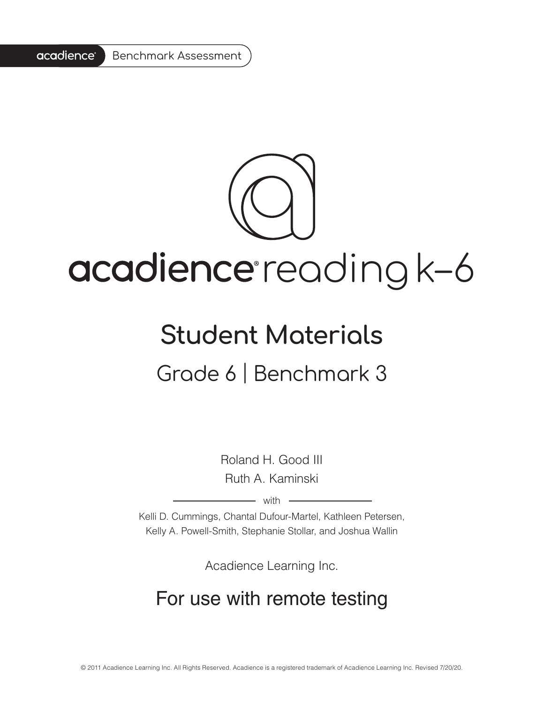#### acadience<sup>®</sup> Benchmark Assessment

# acadience reading k-6

## **Student Materials**

Grade 6 | Benchmark 3

Roland H. Good III Ruth A. Kaminski

 $-$  with  $-$ 

Kelli D. Cummings, Chantal Dufour-Martel, Kathleen Petersen, Kelly A. Powell-Smith, Stephanie Stollar, and Joshua Wallin

Acadience Learning Inc.

## For use with remote testing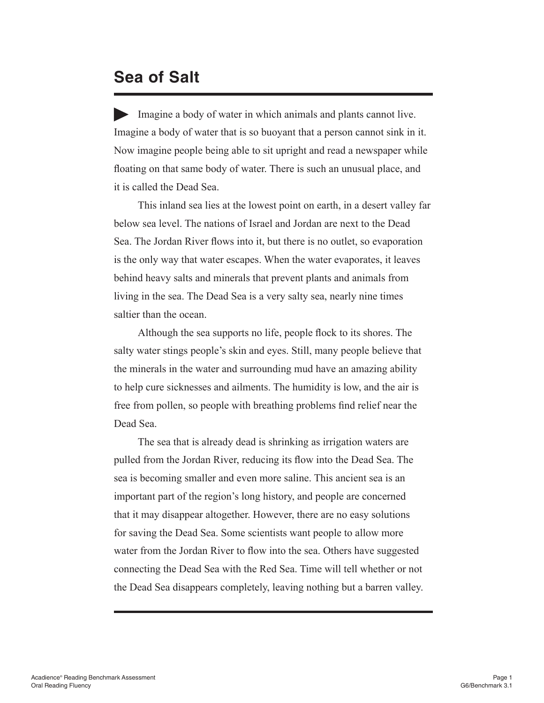#### **Sea of Salt**

Imagine a body of water in which animals and plants cannot live. Imagine a body of water that is so buoyant that a person cannot sink in it. Now imagine people being able to sit upright and read a newspaper while floating on that same body of water. There is such an unusual place, and it is called the Dead Sea.

This inland sea lies at the lowest point on earth, in a desert valley far below sea level. The nations of Israel and Jordan are next to the Dead Sea. The Jordan River flows into it, but there is no outlet, so evaporation is the only way that water escapes. When the water evaporates, it leaves behind heavy salts and minerals that prevent plants and animals from living in the sea. The Dead Sea is a very salty sea, nearly nine times saltier than the ocean.

Although the sea supports no life, people flock to its shores. The salty water stings people's skin and eyes. Still, many people believe that the minerals in the water and surrounding mud have an amazing ability to help cure sicknesses and ailments. The humidity is low, and the air is free from pollen, so people with breathing problems find relief near the Dead Sea.

The sea that is already dead is shrinking as irrigation waters are pulled from the Jordan River, reducing its flow into the Dead Sea. The sea is becoming smaller and even more saline. This ancient sea is an important part of the region's long history, and people are concerned that it may disappear altogether. However, there are no easy solutions for saving the Dead Sea. Some scientists want people to allow more water from the Jordan River to flow into the sea. Others have suggested connecting the Dead Sea with the Red Sea. Time will tell whether or not the Dead Sea disappears completely, leaving nothing but a barren valley.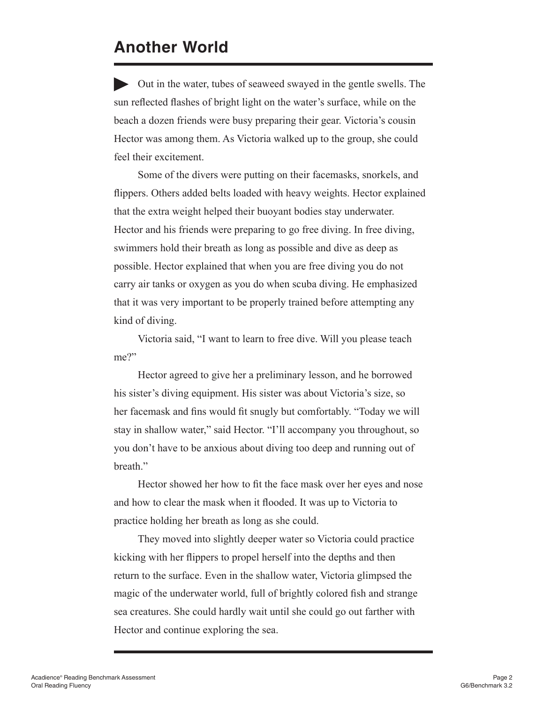### **Another World**

Out in the water, tubes of seaweed swayed in the gentle swells. The sun reflected flashes of bright light on the water's surface, while on the beach a dozen friends were busy preparing their gear. Victoria's cousin Hector was among them. As Victoria walked up to the group, she could feel their excitement.

Some of the divers were putting on their facemasks, snorkels, and flippers. Others added belts loaded with heavy weights. Hector explained that the extra weight helped their buoyant bodies stay underwater. Hector and his friends were preparing to go free diving. In free diving, swimmers hold their breath as long as possible and dive as deep as possible. Hector explained that when you are free diving you do not carry air tanks or oxygen as you do when scuba diving. He emphasized that it was very important to be properly trained before attempting any kind of diving.

Victoria said, "I want to learn to free dive. Will you please teach me?"

Hector agreed to give her a preliminary lesson, and he borrowed his sister's diving equipment. His sister was about Victoria's size, so her facemask and fins would fit snugly but comfortably. "Today we will stay in shallow water," said Hector. "I'll accompany you throughout, so you don't have to be anxious about diving too deep and running out of breath."

Hector showed her how to fit the face mask over her eyes and nose and how to clear the mask when it flooded. It was up to Victoria to practice holding her breath as long as she could.

They moved into slightly deeper water so Victoria could practice kicking with her flippers to propel herself into the depths and then return to the surface. Even in the shallow water, Victoria glimpsed the magic of the underwater world, full of brightly colored fish and strange sea creatures. She could hardly wait until she could go out farther with Hector and continue exploring the sea.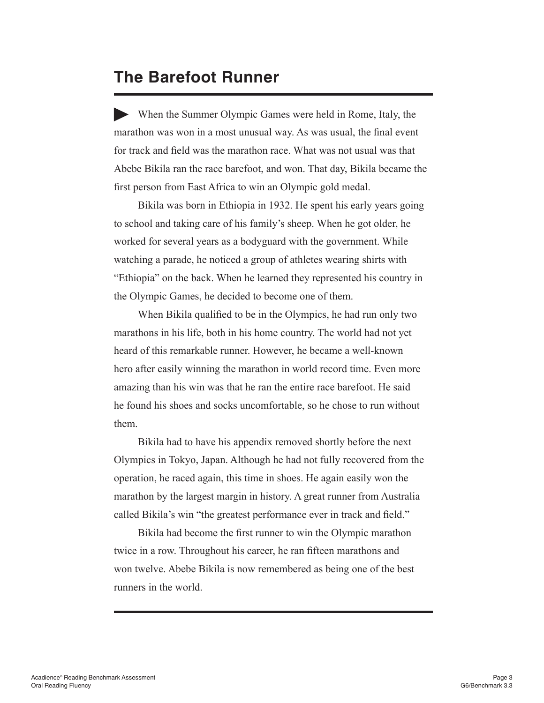#### **The Barefoot Runner**

When the Summer Olympic Games were held in Rome, Italy, the marathon was won in a most unusual way. As was usual, the final event for track and field was the marathon race. What was not usual was that Abebe Bikila ran the race barefoot, and won. That day, Bikila became the first person from East Africa to win an Olympic gold medal.

Bikila was born in Ethiopia in 1932. He spent his early years going to school and taking care of his family's sheep. When he got older, he worked for several years as a bodyguard with the government. While watching a parade, he noticed a group of athletes wearing shirts with "Ethiopia" on the back. When he learned they represented his country in the Olympic Games, he decided to become one of them.

When Bikila qualified to be in the Olympics, he had run only two marathons in his life, both in his home country. The world had not yet heard of this remarkable runner. However, he became a well-known hero after easily winning the marathon in world record time. Even more amazing than his win was that he ran the entire race barefoot. He said he found his shoes and socks uncomfortable, so he chose to run without them.

Bikila had to have his appendix removed shortly before the next Olympics in Tokyo, Japan. Although he had not fully recovered from the operation, he raced again, this time in shoes. He again easily won the marathon by the largest margin in history. A great runner from Australia called Bikila's win "the greatest performance ever in track and field."

Bikila had become the first runner to win the Olympic marathon twice in a row. Throughout his career, he ran fifteen marathons and won twelve. Abebe Bikila is now remembered as being one of the best runners in the world.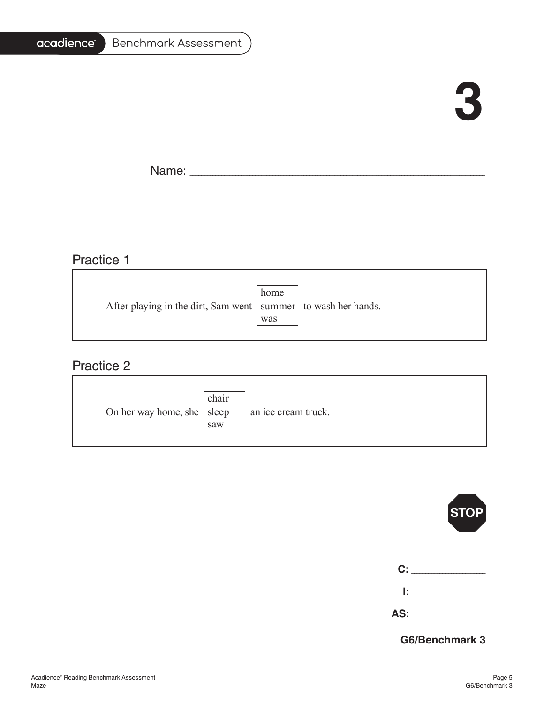#### acadience<sup>®</sup> Benchmark Assessment

# **3**

4

Name: \_\_\_\_\_\_\_\_\_\_\_\_\_\_\_\_\_\_\_\_\_\_\_\_\_\_\_\_\_\_\_\_\_\_\_\_\_\_\_\_\_\_\_\_\_\_\_\_\_\_\_\_\_\_\_\_\_\_\_\_\_\_\_\_\_\_\_\_\_\_\_\_\_\_\_\_\_\_\_\_\_\_\_\_\_\_\_\_\_\_\_\_\_\_\_\_\_\_\_\_\_\_\_

#### Practice 1

|                                                                   | home |  |
|-------------------------------------------------------------------|------|--|
| After playing in the dirt, Sam went   summer   to wash her hands. |      |  |
|                                                                   | was  |  |
|                                                                   |      |  |

#### Practice 2

| On her way home, she   sleep | chair<br>saw | an ice cream truck. |
|------------------------------|--------------|---------------------|
|------------------------------|--------------|---------------------|

|                | <b>STOP</b> |
|----------------|-------------|
|                |             |
| $\mathbf{C}$ : |             |
|                | l: L        |

**G6/Benchmark 3**

**AS:** \_\_\_\_\_\_\_\_\_\_\_\_\_\_\_\_\_\_\_\_\_\_\_\_\_\_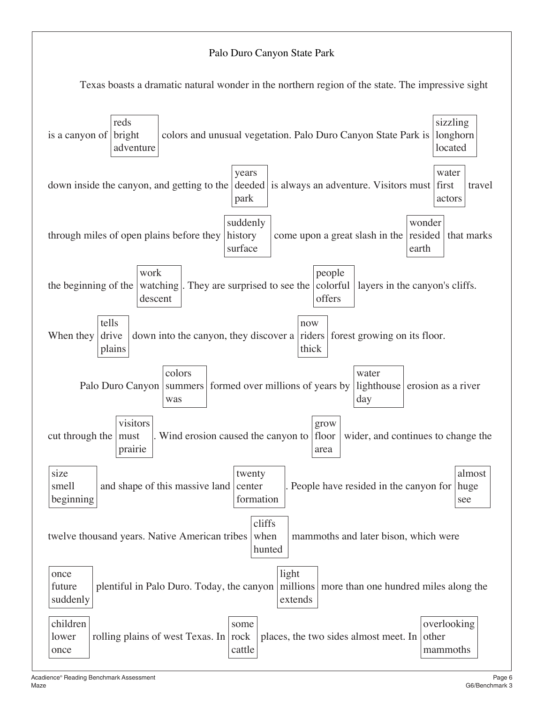#### Palo Duro Canyon State Park

Texas boasts a dramatic natural wonder in the northern region of the state. The impressive sight

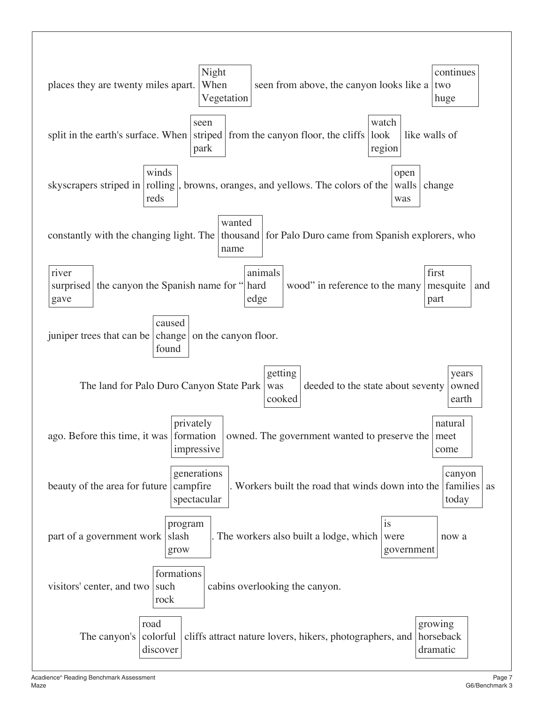